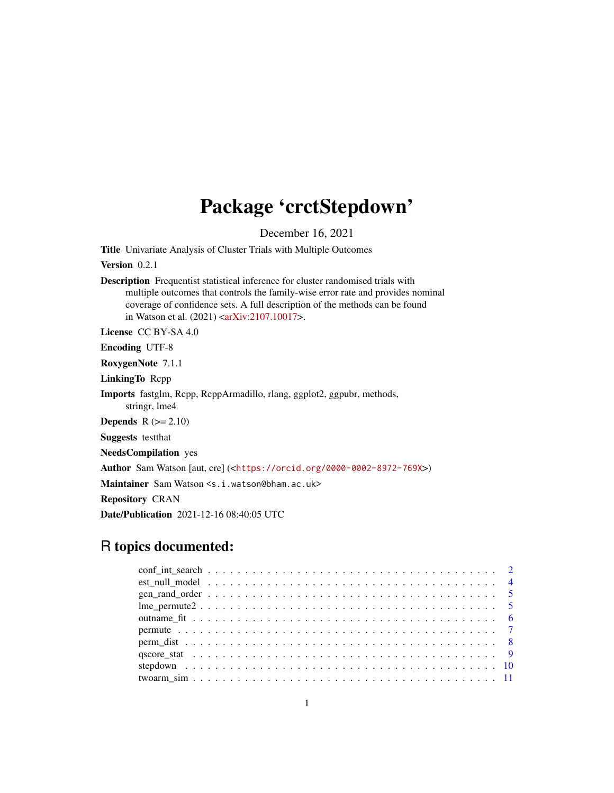# Package 'crctStepdown'

December 16, 2021

Title Univariate Analysis of Cluster Trials with Multiple Outcomes

Version 0.2.1

Description Frequentist statistical inference for cluster randomised trials with multiple outcomes that controls the family-wise error rate and provides nominal coverage of confidence sets. A full description of the methods can be found in Watson et al.  $(2021) < arXiv:2107.10017$ .

License CC BY-SA 4.0

Encoding UTF-8

RoxygenNote 7.1.1

LinkingTo Rcpp

Imports fastglm, Rcpp, RcppArmadillo, rlang, ggplot2, ggpubr, methods, stringr, lme4

**Depends**  $R$  ( $>= 2.10$ )

Suggests testthat

NeedsCompilation yes

Author Sam Watson [aut, cre] (<<https://orcid.org/0000-0002-8972-769X>>)

Maintainer Sam Watson <s.i.watson@bham.ac.uk>

Repository CRAN

Date/Publication 2021-12-16 08:40:05 UTC

# R topics documented: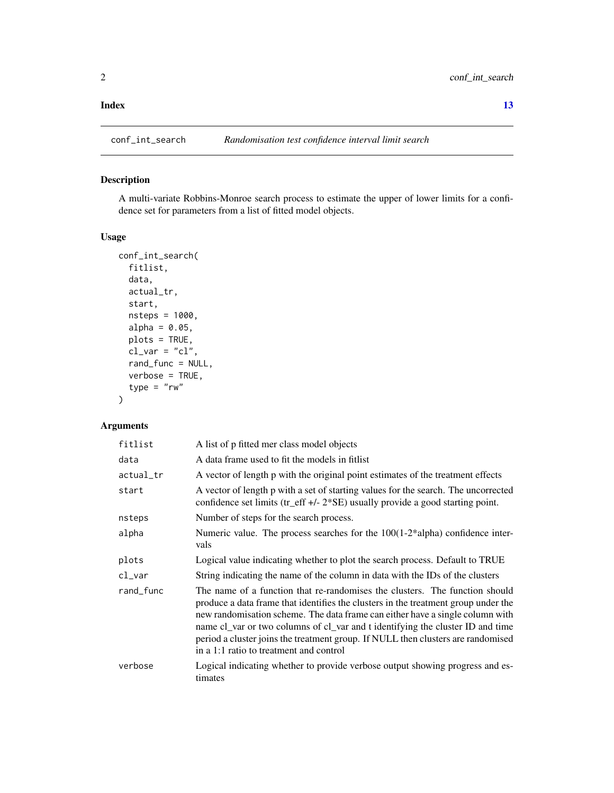#### <span id="page-1-0"></span>**Index** [13](#page-12-0)

conf\_int\_search *Randomisation test confidence interval limit search*

# Description

A multi-variate Robbins-Monroe search process to estimate the upper of lower limits for a confidence set for parameters from a list of fitted model objects.

# Usage

```
conf_int_search(
 fitlist,
  data,
  actual_tr,
  start,
 nsteps = 1000,
  alpha = 0.05,
 plots = TRUE,
  cl\_var = "cl",rand_func = NULL,
  verbose = TRUE,
  type = "rw")
```

| fitlist              | A list of p fitted mer class model objects                                                                                                                                                                                                                                                                                                                                                                                                                          |
|----------------------|---------------------------------------------------------------------------------------------------------------------------------------------------------------------------------------------------------------------------------------------------------------------------------------------------------------------------------------------------------------------------------------------------------------------------------------------------------------------|
| data                 | A data frame used to fit the models in fitlist                                                                                                                                                                                                                                                                                                                                                                                                                      |
| actual_tr            | A vector of length p with the original point estimates of the treatment effects                                                                                                                                                                                                                                                                                                                                                                                     |
| start                | A vector of length p with a set of starting values for the search. The uncorrected<br>confidence set limits (tr_eff +/- $2*SE$ ) usually provide a good starting point.                                                                                                                                                                                                                                                                                             |
| nsteps               | Number of steps for the search process.                                                                                                                                                                                                                                                                                                                                                                                                                             |
| alpha                | Numeric value. The process searches for the $100(1-2*alpha)$ confidence inter-<br>vals                                                                                                                                                                                                                                                                                                                                                                              |
| plots                | Logical value indicating whether to plot the search process. Default to TRUE                                                                                                                                                                                                                                                                                                                                                                                        |
| $c$ l $_{\rm -}$ var | String indicating the name of the column in data with the IDs of the clusters                                                                                                                                                                                                                                                                                                                                                                                       |
| rand_func            | The name of a function that re-randomises the clusters. The function should<br>produce a data frame that identifies the clusters in the treatment group under the<br>new randomisation scheme. The data frame can either have a single column with<br>name cl_var or two columns of cl_var and t identifying the cluster ID and time<br>period a cluster joins the treatment group. If NULL then clusters are randomised<br>in a 1:1 ratio to treatment and control |
| verbose              | Logical indicating whether to provide verbose output showing progress and es-<br>timates                                                                                                                                                                                                                                                                                                                                                                            |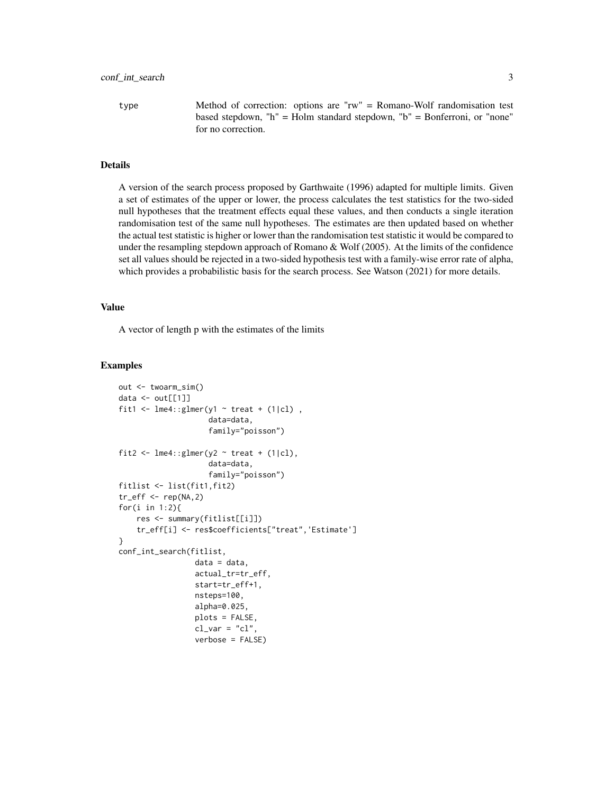type Method of correction: options are "rw" = Romano-Wolf randomisation test based stepdown, "h" = Holm standard stepdown, "b" = Bonferroni, or "none" for no correction.

#### Details

A version of the search process proposed by Garthwaite (1996) adapted for multiple limits. Given a set of estimates of the upper or lower, the process calculates the test statistics for the two-sided null hypotheses that the treatment effects equal these values, and then conducts a single iteration randomisation test of the same null hypotheses. The estimates are then updated based on whether the actual test statistic is higher or lower than the randomisation test statistic it would be compared to under the resampling stepdown approach of Romano & Wolf (2005). At the limits of the confidence set all values should be rejected in a two-sided hypothesis test with a family-wise error rate of alpha, which provides a probabilistic basis for the search process. See Watson (2021) for more details.

#### Value

A vector of length p with the estimates of the limits

#### Examples

```
out <- twoarm_sim()
data \leq out[[1]]
fit1 <- lme4::glmer(y1 \sim treat + (1|cl),
                    data=data,
                    family="poisson")
fit2 <- lme4::glmer(y2 ~ rreat + (1|cl),data=data,
                     family="poisson")
fitlist <- list(fit1,fit2)
tr_{eff} < - rep(NA, 2)for(i in 1:2){
    res <- summary(fitlist[[i]])
    tr_eff[i] <- res$coefficients["treat",'Estimate']
}
conf_int_search(fitlist,
                 data = data,actual_tr=tr_eff,
                 start=tr_eff+1,
                 nsteps=100,
                 alpha=0.025,
                 plots = FALSE,
                 cl\_var = "cl",verbose = FALSE)
```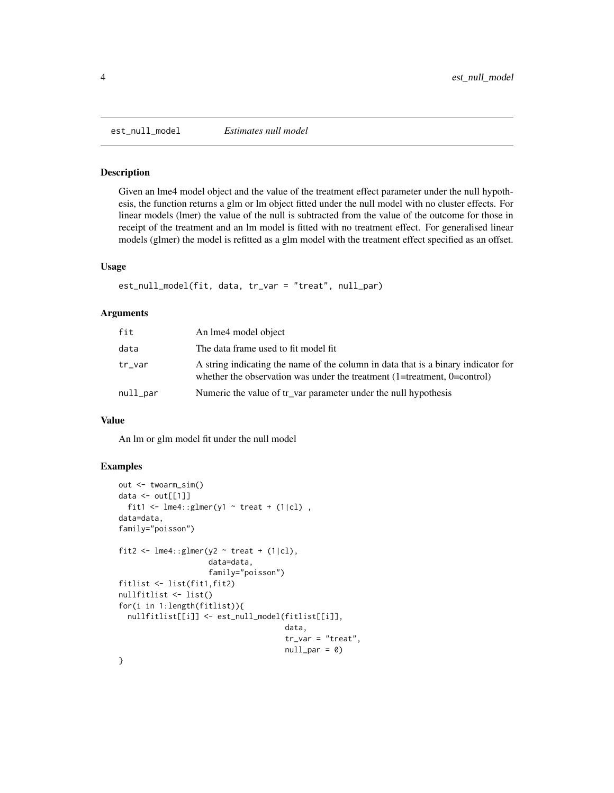Given an lme4 model object and the value of the treatment effect parameter under the null hypothesis, the function returns a glm or lm object fitted under the null model with no cluster effects. For linear models (lmer) the value of the null is subtracted from the value of the outcome for those in receipt of the treatment and an lm model is fitted with no treatment effect. For generalised linear models (glmer) the model is refitted as a glm model with the treatment effect specified as an offset.

#### Usage

```
est_null_model(fit, data, tr_var = "treat", null_par)
```
# Arguments

| fit      | An lme4 model object                                                                                                                                                           |
|----------|--------------------------------------------------------------------------------------------------------------------------------------------------------------------------------|
| data     | The data frame used to fit model fit                                                                                                                                           |
| tr_var   | A string indicating the name of the column in data that is a binary indicator for<br>whether the observation was under the treatment $(1 = t$ reatment, $0 = \text{control}$ ) |
| null_par | Numeric the value of tr_var parameter under the null hypothesis                                                                                                                |

#### Value

An lm or glm model fit under the null model

#### Examples

```
out <- twoarm_sim()
data \le out[[1]]
  fit1 <- lme4::glmer(y1 ~ ~ ~ ~ treat ~ ~ (1|cl),
data=data,
family="poisson")
fit2 <- lme4::glmer(y2 ~ ~treat + (1|cl),
                     data=data,
                     family="poisson")
fitlist <- list(fit1,fit2)
nullfitlist <- list()
for(i in 1:length(fitlist)){
  nullfitlist[[i]] <- est_null_model(fitlist[[i]],
                                      data,
                                      tr_var = "treat",
                                      null\_par = 0)}
```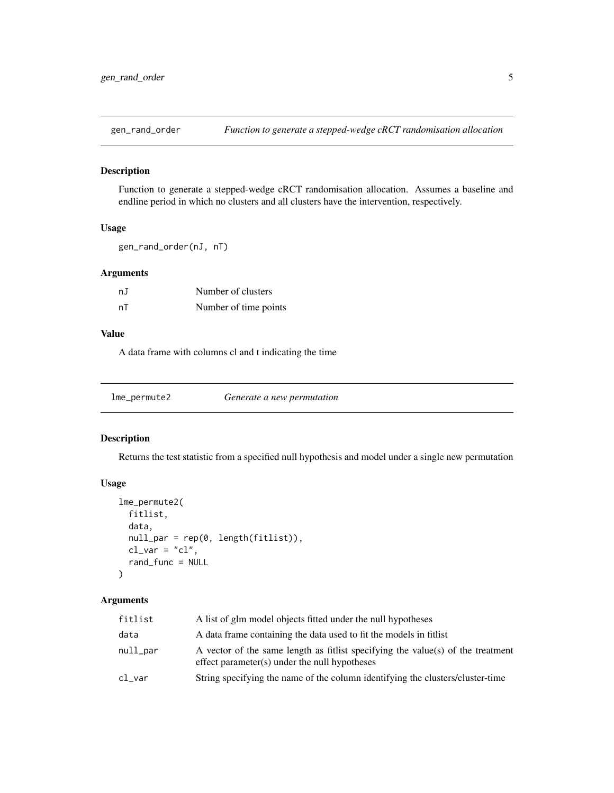<span id="page-4-0"></span>

Function to generate a stepped-wedge cRCT randomisation allocation. Assumes a baseline and endline period in which no clusters and all clusters have the intervention, respectively.

### Usage

```
gen_rand_order(nJ, nT)
```
# Arguments

| nJ | Number of clusters    |
|----|-----------------------|
| nT | Number of time points |

# Value

A data frame with columns cl and t indicating the time

| lme_permute2 | Generate a new permutation |  |
|--------------|----------------------------|--|
|--------------|----------------------------|--|

#### Description

Returns the test statistic from a specified null hypothesis and model under a single new permutation

#### Usage

```
lme_permute2(
  fitlist,
  data,
  null_par = rep(0, length(fitlist)),
  cl\_var = "cl",rand_func = NULL
)
```

| fitlist              | A list of glm model objects fitted under the null hypotheses                                                                     |
|----------------------|----------------------------------------------------------------------------------------------------------------------------------|
| data                 | A data frame containing the data used to fit the models in fitlist                                                               |
| null_par             | A vector of the same length as fitlist specifying the value(s) of the treatment<br>effect parameter(s) under the null hypotheses |
| $c$ l $_{\rm -}$ var | String specifying the name of the column identifying the clusters/cluster-time                                                   |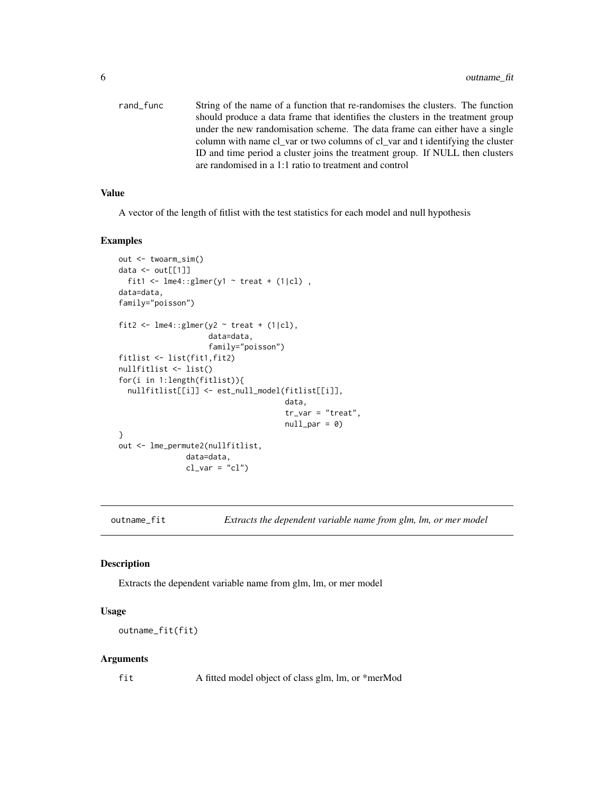<span id="page-5-0"></span>rand\_func String of the name of a function that re-randomises the clusters. The function should produce a data frame that identifies the clusters in the treatment group under the new randomisation scheme. The data frame can either have a single column with name cl\_var or two columns of cl\_var and t identifying the cluster ID and time period a cluster joins the treatment group. If NULL then clusters are randomised in a 1:1 ratio to treatment and control

#### Value

A vector of the length of fitlist with the test statistics for each model and null hypothesis

#### Examples

```
out <- twoarm_sim()
data \leq out[[1]]
 fit1 <- lme4::glmer(y1 ~ rreat + (1|cl),
data=data,
family="poisson")
fit2 <- lme4::glmer(y2 ~ ~treat + (1|cl),
                    data=data,
                    family="poisson")
fitlist <- list(fit1,fit2)
nullfitlist <- list()
for(i in 1:length(fitlist)){
 nullfitlist[[i]] <- est_null_model(fitlist[[i]],
                                      data,
                                      tr_var = "treat",
                                      null\_par = 0)}
out <- lme_permute2(nullfitlist,
               data=data,
               cl\_var = "cl")
```
outname\_fit *Extracts the dependent variable name from glm, lm, or mer model*

#### Description

Extracts the dependent variable name from glm, lm, or mer model

# Usage

outname\_fit(fit)

#### Arguments

fit A fitted model object of class glm, lm, or \*merMod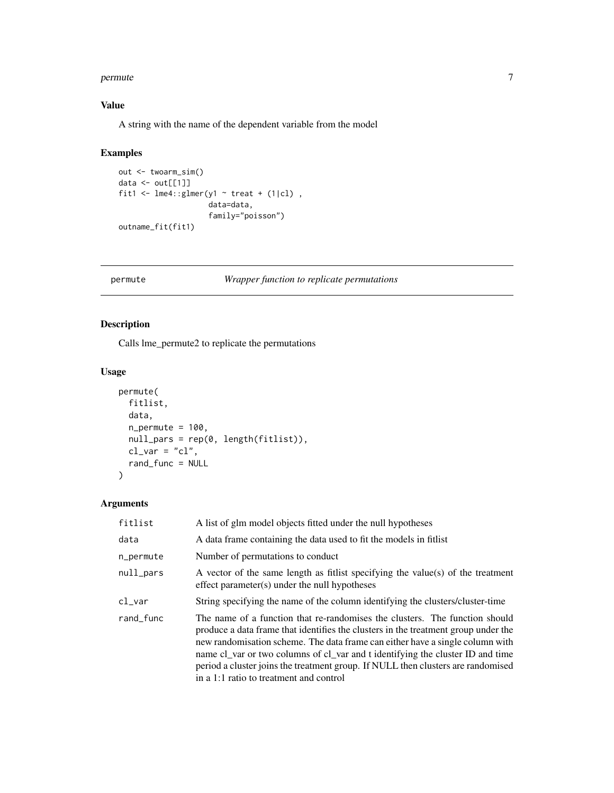#### <span id="page-6-0"></span>permute that the contract of the contract of the contract of the contract of the contract of the contract of the contract of the contract of the contract of the contract of the contract of the contract of the contract of t

# Value

A string with the name of the dependent variable from the model

#### Examples

```
out <- twoarm_sim()
data <- out[[1]]
fit1 <- lme4::glmer(y1 ~ ~ ~ treat ~ ~ (1|cl),
                     data=data,
                     family="poisson")
outname_fit(fit1)
```
# permute *Wrapper function to replicate permutations*

# Description

Calls lme\_permute2 to replicate the permutations

#### Usage

```
permute(
  fitlist,
  data,
  n_{\text{permute}} = 100,
  null_pars = rep(0, length(fitlist)),
  cl\_var = "cl",rand_func = NULL
\lambda
```

| fitlist   | A list of glm model objects fitted under the null hypotheses                                                                                                                                                                                                                                                                                                                                                                                                        |
|-----------|---------------------------------------------------------------------------------------------------------------------------------------------------------------------------------------------------------------------------------------------------------------------------------------------------------------------------------------------------------------------------------------------------------------------------------------------------------------------|
| data      | A data frame containing the data used to fit the models in fitlist                                                                                                                                                                                                                                                                                                                                                                                                  |
| n_permute | Number of permutations to conduct                                                                                                                                                                                                                                                                                                                                                                                                                                   |
| null_pars | A vector of the same length as fitlist specifying the value(s) of the treatment<br>effect parameter(s) under the null hypotheses                                                                                                                                                                                                                                                                                                                                    |
| $c$ l_var | String specifying the name of the column identifying the clusters/cluster-time                                                                                                                                                                                                                                                                                                                                                                                      |
| rand_func | The name of a function that re-randomises the clusters. The function should<br>produce a data frame that identifies the clusters in the treatment group under the<br>new randomisation scheme. The data frame can either have a single column with<br>name cl_var or two columns of cl_var and t identifying the cluster ID and time<br>period a cluster joins the treatment group. If NULL then clusters are randomised<br>in a 1:1 ratio to treatment and control |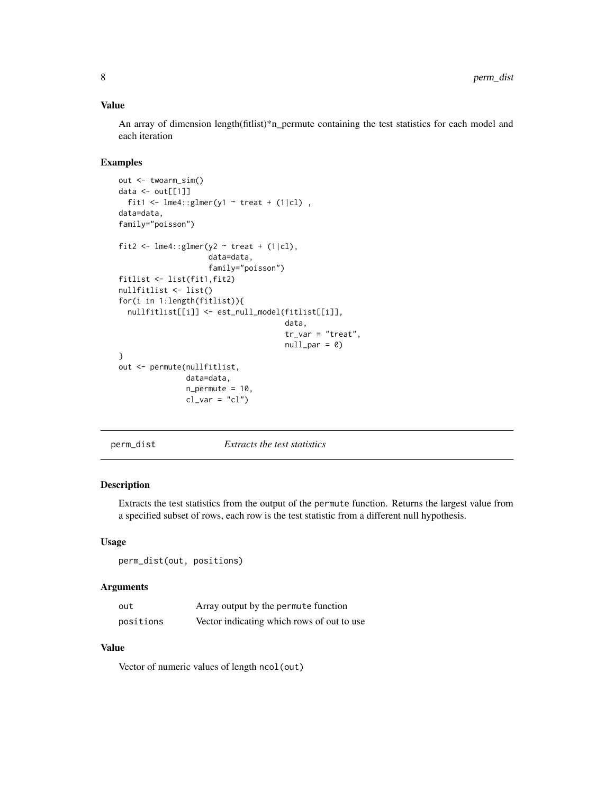#### <span id="page-7-0"></span>Value

An array of dimension length(fitlist)\*n\_permute containing the test statistics for each model and each iteration

# Examples

```
out <- twoarm_sim()
data \leftarrow out[[1]]
 fit1 <- lme4::glmer(y1 ~ ~ ~ treat + (1|cl),
data=data,
family="poisson")
fit2 <- lme4::glmer(y2 ~ ~treat + (1|cl),
                    data=data,
                     family="poisson")
fitlist <- list(fit1,fit2)
nullfitlist <- list()
for(i in 1:length(fitlist)){
  nullfitlist[[i]] <- est_null_model(fitlist[[i]],
                                      data,
                                      tr_var = "treat",
                                      null\_par = 0)}
out <- permute(nullfitlist,
               data=data,
               n_permute = 10,
               cl\_var = "cl")
```
perm\_dist *Extracts the test statistics*

# Description

Extracts the test statistics from the output of the permute function. Returns the largest value from a specified subset of rows, each row is the test statistic from a different null hypothesis.

#### Usage

perm\_dist(out, positions)

#### Arguments

| out       | Array output by the permute function       |
|-----------|--------------------------------------------|
| positions | Vector indicating which rows of out to use |

#### Value

Vector of numeric values of length ncol(out)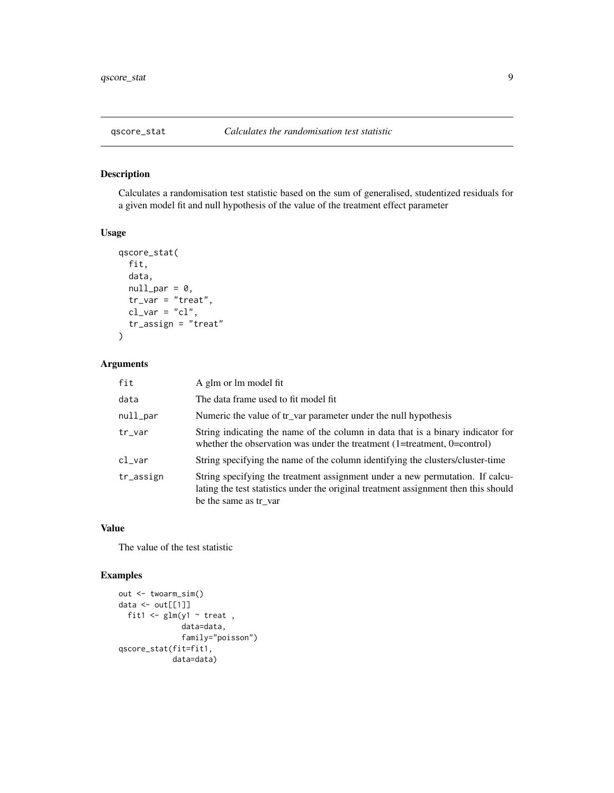<span id="page-8-0"></span>

Calculates a randomisation test statistic based on the sum of generalised, studentized residuals for a given model fit and null hypothesis of the value of the treatment effect parameter

#### Usage

```
qscore_stat(
  fit,
  data,
 null\_par = 0,
  tr_{var} = "treat",cl\_var = "cl",tr_assign = "treat"
)
```
### Arguments

| fit       | A glm or lm model fit                                                                                                                                                                         |
|-----------|-----------------------------------------------------------------------------------------------------------------------------------------------------------------------------------------------|
| data      | The data frame used to fit model fit                                                                                                                                                          |
| null_par  | Numeric the value of tr_var parameter under the null hypothesis                                                                                                                               |
| tr_var    | String indicating the name of the column in data that is a binary indicator for<br>whether the observation was under the treatment $(1 = t$ reatment, $0 = \text{control})$                   |
| cl_var    | String specifying the name of the column identifying the clusters/cluster-time                                                                                                                |
| tr_assign | String specifying the treatment assignment under a new permutation. If calcu-<br>lating the test statistics under the original treatment assignment then this should<br>be the same as tr_var |

# Value

The value of the test statistic

#### Examples

```
out <- twoarm_sim()
data \le out[[1]]
  fit1 \le glm(y1 \sim treat,
              data=data,
              family="poisson")
qscore_stat(fit=fit1,
            data=data)
```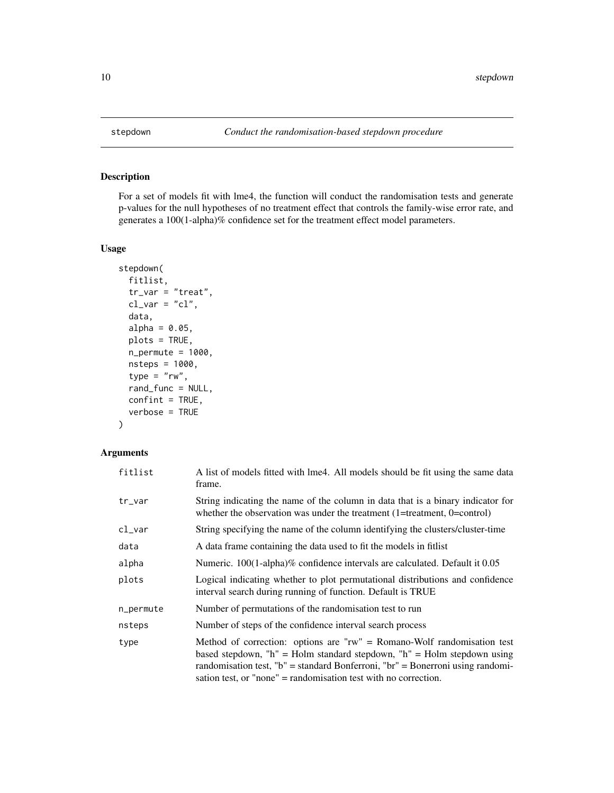For a set of models fit with lme4, the function will conduct the randomisation tests and generate p-values for the null hypotheses of no treatment effect that controls the family-wise error rate, and generates a 100(1-alpha)% confidence set for the treatment effect model parameters.

#### Usage

```
stepdown(
  fitlist,
  tr_{var} = "treat",cl\_var = "cl",data,
  alpha = 0.05,
 plots = TRUE,
 n_permute = 1000,
 nsteps = 1000,
  type = "rw",rand_func = NULL,
 confint = TRUE,
  verbose = TRUE
)
```

| fitlist   | A list of models fitted with lme4. All models should be fit using the same data<br>frame.                                                                                                                                                                                                                   |
|-----------|-------------------------------------------------------------------------------------------------------------------------------------------------------------------------------------------------------------------------------------------------------------------------------------------------------------|
| tr_var    | String indicating the name of the column in data that is a binary indicator for<br>whether the observation was under the treatment $(1 = t$ reatment, $0 = \text{control})$                                                                                                                                 |
| cl_var    | String specifying the name of the column identifying the clusters/cluster-time                                                                                                                                                                                                                              |
| data      | A data frame containing the data used to fit the models in fitlist                                                                                                                                                                                                                                          |
| alpha     | Numeric. $100(1-aIpha)\%$ confidence intervals are calculated. Default it 0.05                                                                                                                                                                                                                              |
| plots     | Logical indicating whether to plot permutational distributions and confidence<br>interval search during running of function. Default is TRUE                                                                                                                                                                |
| n_permute | Number of permutations of the randomisation test to run                                                                                                                                                                                                                                                     |
| nsteps    | Number of steps of the confidence interval search process                                                                                                                                                                                                                                                   |
| type      | Method of correction: options are " $rw$ " = Romano-Wolf randomisation test<br>based stepdown, "h" = Holm standard stepdown, "h" = Holm stepdown using<br>randomisation test, "b" = standard Bonferroni, "br" = Bonerroni using randomi-<br>sation test, or "none" = randomisation test with no correction. |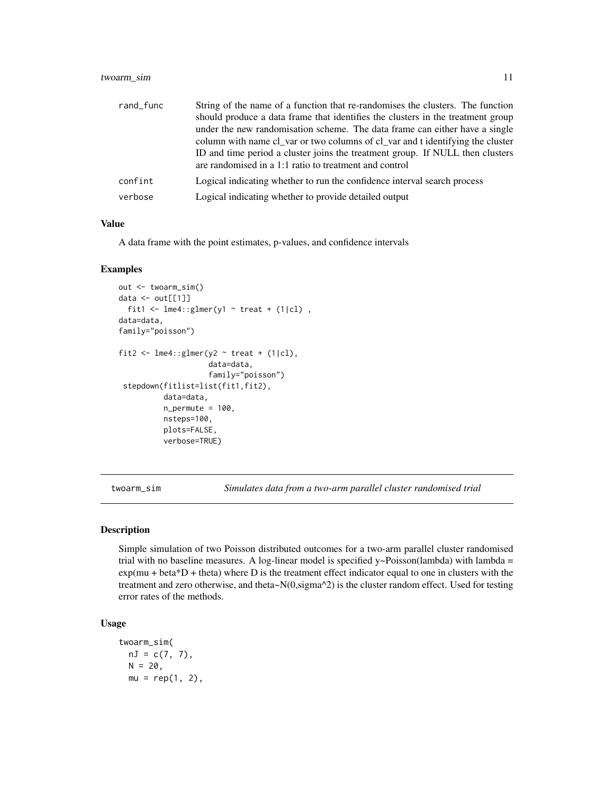# <span id="page-10-0"></span>twoarm\_sim 11

| rand_func | String of the name of a function that re-randomises the clusters. The function  |
|-----------|---------------------------------------------------------------------------------|
|           | should produce a data frame that identifies the clusters in the treatment group |
|           | under the new randomisation scheme. The data frame can either have a single     |
|           | column with name cl_var or two columns of cl_var and t identifying the cluster  |
|           | ID and time period a cluster joins the treatment group. If NULL then clusters   |
|           | are randomised in a 1:1 ratio to treatment and control                          |
| confint   | Logical indicating whether to run the confidence interval search process        |
| verbose   | Logical indicating whether to provide detailed output                           |

#### Value

A data frame with the point estimates, p-values, and confidence intervals

#### Examples

```
out <- twoarm_sim()
data \le out[[1]]
  fit1 <- lme4::glmer(y1 ~ ~ ~ treat + (1|cl),
data=data,
family="poisson")
fit2 <- lme4::glmer(y2 ~ rreat + (1|cl),data=data,
                     family="poisson")
 stepdown(fitlist=list(fit1,fit2),
          data=data,
          n_{\text{permute}} = 100,nsteps=100,
          plots=FALSE,
          verbose=TRUE)
```
twoarm\_sim *Simulates data from a two-arm parallel cluster randomised trial*

#### Description

Simple simulation of two Poisson distributed outcomes for a two-arm parallel cluster randomised trial with no baseline measures. A log-linear model is specified y~Poisson(lambda) with lambda =  $exp(mu + beta * D + theta)$  where D is the treatment effect indicator equal to one in clusters with the treatment and zero otherwise, and theta~N(0,sigma^2) is the cluster random effect. Used for testing error rates of the methods.

# Usage

```
twoarm_sim(
 nJ = c(7, 7),N = 20,
 mu = rep(1, 2),
```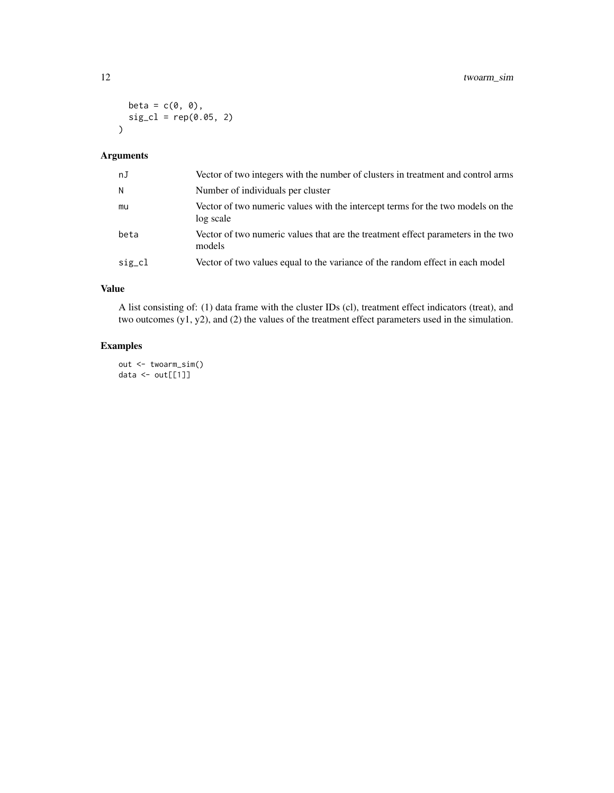```
beta = c(\emptyset, \emptyset),
  sig_cl = rep(0.05, 2)\mathcal{L}
```
# Arguments

| nJ     | Vector of two integers with the number of clusters in treatment and control arms             |
|--------|----------------------------------------------------------------------------------------------|
| N.     | Number of individuals per cluster                                                            |
| mu     | Vector of two numeric values with the intercept terms for the two models on the<br>log scale |
| beta   | Vector of two numeric values that are the treatment effect parameters in the two<br>models   |
| sig_cl | Vector of two values equal to the variance of the random effect in each model                |

# Value

A list consisting of: (1) data frame with the cluster IDs (cl), treatment effect indicators (treat), and two outcomes (y1, y2), and (2) the values of the treatment effect parameters used in the simulation.

# Examples

out <- twoarm\_sim() data <- out[[1]]